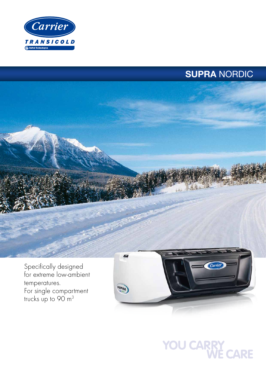

# SUPRA NORDIC



for extreme low-ambient temperatures. For single compartment trucks up to  $90 \text{ m}^3$